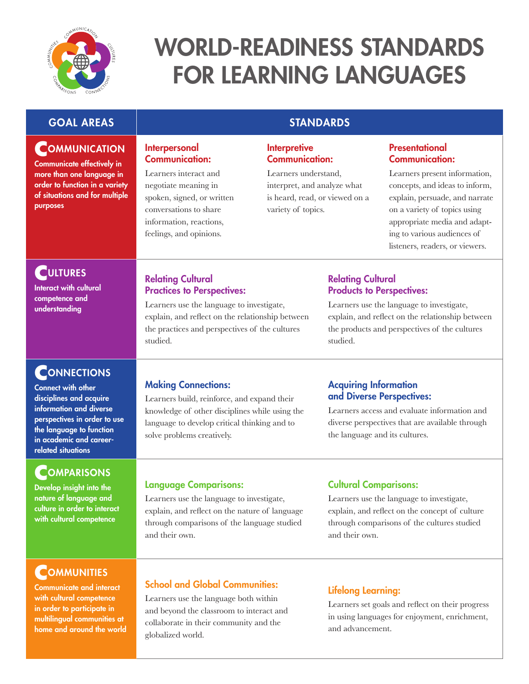

# WORLD-READINESS STANDARDS FOR LEARNING LANGUAGES

### **GOAL AREAS STANDARDS**

### **COMMUNICATION**

Communicate effectively in more than one language in order to function in a variety of situations and for multiple purposes

#### Interpersonal Communication:

Learners interact and negotiate meaning in spoken, signed, or written conversations to share information, reactions, feelings, and opinions.

#### **Interpretive** Communication:

Learners understand, interpret, and analyze what is heard, read, or viewed on a variety of topics.

#### **Presentational** Communication:

Learners present information, concepts, and ideas to inform, explain, persuade, and narrate on a variety of topics using appropriate media and adapting to various audiences of listeners, readers, or viewers.

### **CULTURES**

Interact with cultural competence and understanding

### **CONNECTIONS**

Connect with other disciplines and acquire information and diverse perspectives in order to use the language to function in academic and careerrelated situations

### **COMPARISONS**

Develop insight into the nature of language and culture in order to interact with cultural competence

## **COMMUNITIES**

Communicate and interact with cultural competence in order to participate in multilingual communities at home and around the world

### Relating Cultural Practices to Perspectives:

Learners use the language to investigate, explain, and reflect on the relationship between the practices and perspectives of the cultures studied.

### Relating Cultural Products to Perspectives:

Learners use the language to investigate, explain, and reflect on the relationship between the products and perspectives of the cultures studied.

### Making Connections:

Learners build, reinforce, and expand their knowledge of other disciplines while using the language to develop critical thinking and to solve problems creatively.

#### Acquiring Information and Diverse Perspectives:

Learners access and evaluate information and diverse perspectives that are available through the language and its cultures.

### Language Comparisons:

Learners use the language to investigate, explain, and reflect on the nature of language through comparisons of the language studied and their own.

### School and Global Communities:

Learners use the language both within and beyond the classroom to interact and collaborate in their community and the globalized world.

### Cultural Comparisons:

Learners use the language to investigate, explain, and reflect on the concept of culture through comparisons of the cultures studied and their own.

### Lifelong Learning:

Learners set goals and reflect on their progress in using languages for enjoyment, enrichment, and advancement.